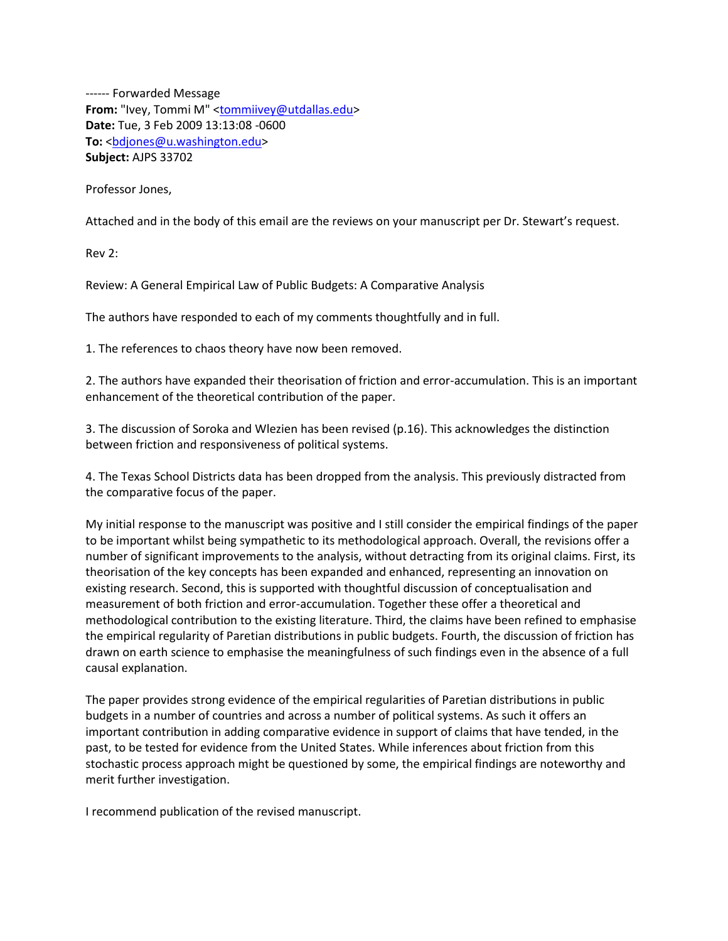------ Forwarded Message From: "Ivey, Tommi M" [<tommiivey@utdallas.edu>](tommiivey@utdallas.edu_) **Date:** Tue, 3 Feb 2009 13:13:08 -0600 To: <br />
dotes<br />
dotes<br />
ndotes<br />
ndotes<br />
ndotes<br />
ndotes<br />
ndotes<br />
ndotes<br />
ndotes<br />
ndotes<br />
ndotes<br />
ndotes<br />
ndotes<br />
ndotes<br />
ndotes<br />
ndotes<br />
ndote **Subject:** AJPS 33702

Professor Jones,

Attached and in the body of this email are the reviews on your manuscript per Dr. Stewart's request.

Rev 2:

Review: A General Empirical Law of Public Budgets: A Comparative Analysis

The authors have responded to each of my comments thoughtfully and in full.

1. The references to chaos theory have now been removed.

2. The authors have expanded their theorisation of friction and error-accumulation. This is an important enhancement of the theoretical contribution of the paper.

3. The discussion of Soroka and Wlezien has been revised (p.16). This acknowledges the distinction between friction and responsiveness of political systems.

4. The Texas School Districts data has been dropped from the analysis. This previously distracted from the comparative focus of the paper.

My initial response to the manuscript was positive and I still consider the empirical findings of the paper to be important whilst being sympathetic to its methodological approach. Overall, the revisions offer a number of significant improvements to the analysis, without detracting from its original claims. First, its theorisation of the key concepts has been expanded and enhanced, representing an innovation on existing research. Second, this is supported with thoughtful discussion of conceptualisation and measurement of both friction and error-accumulation. Together these offer a theoretical and methodological contribution to the existing literature. Third, the claims have been refined to emphasise the empirical regularity of Paretian distributions in public budgets. Fourth, the discussion of friction has drawn on earth science to emphasise the meaningfulness of such findings even in the absence of a full causal explanation.

The paper provides strong evidence of the empirical regularities of Paretian distributions in public budgets in a number of countries and across a number of political systems. As such it offers an important contribution in adding comparative evidence in support of claims that have tended, in the past, to be tested for evidence from the United States. While inferences about friction from this stochastic process approach might be questioned by some, the empirical findings are noteworthy and merit further investigation.

I recommend publication of the revised manuscript.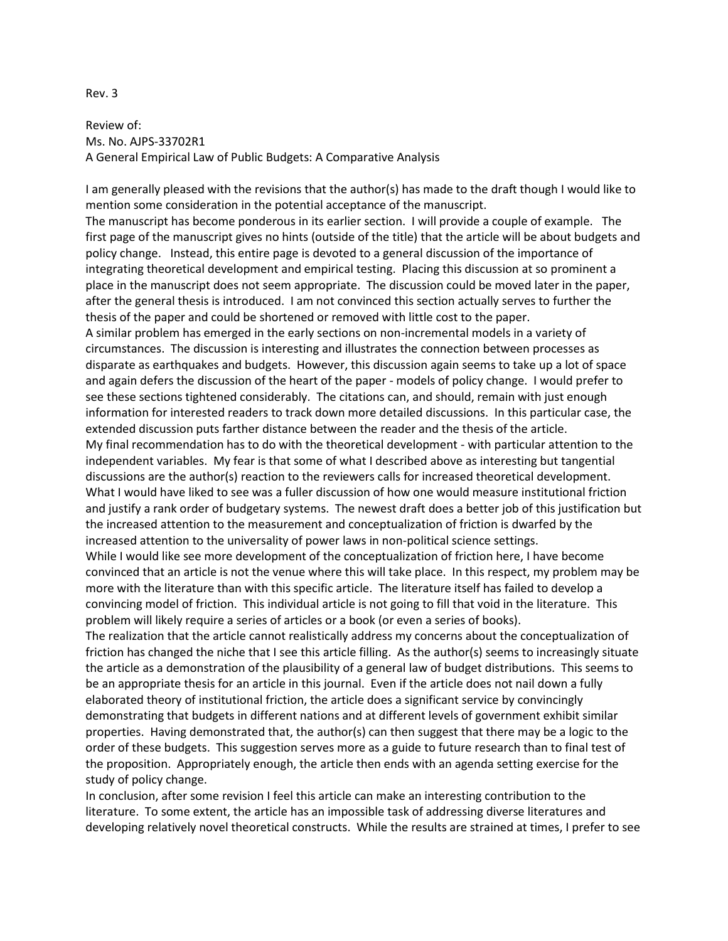## Rev. 3

Review of: Ms. No. AJPS-33702R1 A General Empirical Law of Public Budgets: A Comparative Analysis

I am generally pleased with the revisions that the author(s) has made to the draft though I would like to mention some consideration in the potential acceptance of the manuscript.

The manuscript has become ponderous in its earlier section. I will provide a couple of example. The first page of the manuscript gives no hints (outside of the title) that the article will be about budgets and policy change. Instead, this entire page is devoted to a general discussion of the importance of integrating theoretical development and empirical testing. Placing this discussion at so prominent a place in the manuscript does not seem appropriate. The discussion could be moved later in the paper, after the general thesis is introduced. I am not convinced this section actually serves to further the thesis of the paper and could be shortened or removed with little cost to the paper.

A similar problem has emerged in the early sections on non-incremental models in a variety of circumstances. The discussion is interesting and illustrates the connection between processes as disparate as earthquakes and budgets. However, this discussion again seems to take up a lot of space and again defers the discussion of the heart of the paper - models of policy change. I would prefer to see these sections tightened considerably. The citations can, and should, remain with just enough information for interested readers to track down more detailed discussions. In this particular case, the extended discussion puts farther distance between the reader and the thesis of the article. My final recommendation has to do with the theoretical development - with particular attention to the independent variables. My fear is that some of what I described above as interesting but tangential discussions are the author(s) reaction to the reviewers calls for increased theoretical development. What I would have liked to see was a fuller discussion of how one would measure institutional friction and justify a rank order of budgetary systems. The newest draft does a better job of this justification but

the increased attention to the measurement and conceptualization of friction is dwarfed by the increased attention to the universality of power laws in non-political science settings.

While I would like see more development of the conceptualization of friction here, I have become convinced that an article is not the venue where this will take place. In this respect, my problem may be more with the literature than with this specific article. The literature itself has failed to develop a convincing model of friction. This individual article is not going to fill that void in the literature. This problem will likely require a series of articles or a book (or even a series of books).

The realization that the article cannot realistically address my concerns about the conceptualization of friction has changed the niche that I see this article filling. As the author(s) seems to increasingly situate the article as a demonstration of the plausibility of a general law of budget distributions. This seems to be an appropriate thesis for an article in this journal. Even if the article does not nail down a fully elaborated theory of institutional friction, the article does a significant service by convincingly demonstrating that budgets in different nations and at different levels of government exhibit similar properties. Having demonstrated that, the author(s) can then suggest that there may be a logic to the order of these budgets. This suggestion serves more as a guide to future research than to final test of the proposition. Appropriately enough, the article then ends with an agenda setting exercise for the study of policy change.

In conclusion, after some revision I feel this article can make an interesting contribution to the literature. To some extent, the article has an impossible task of addressing diverse literatures and developing relatively novel theoretical constructs. While the results are strained at times, I prefer to see